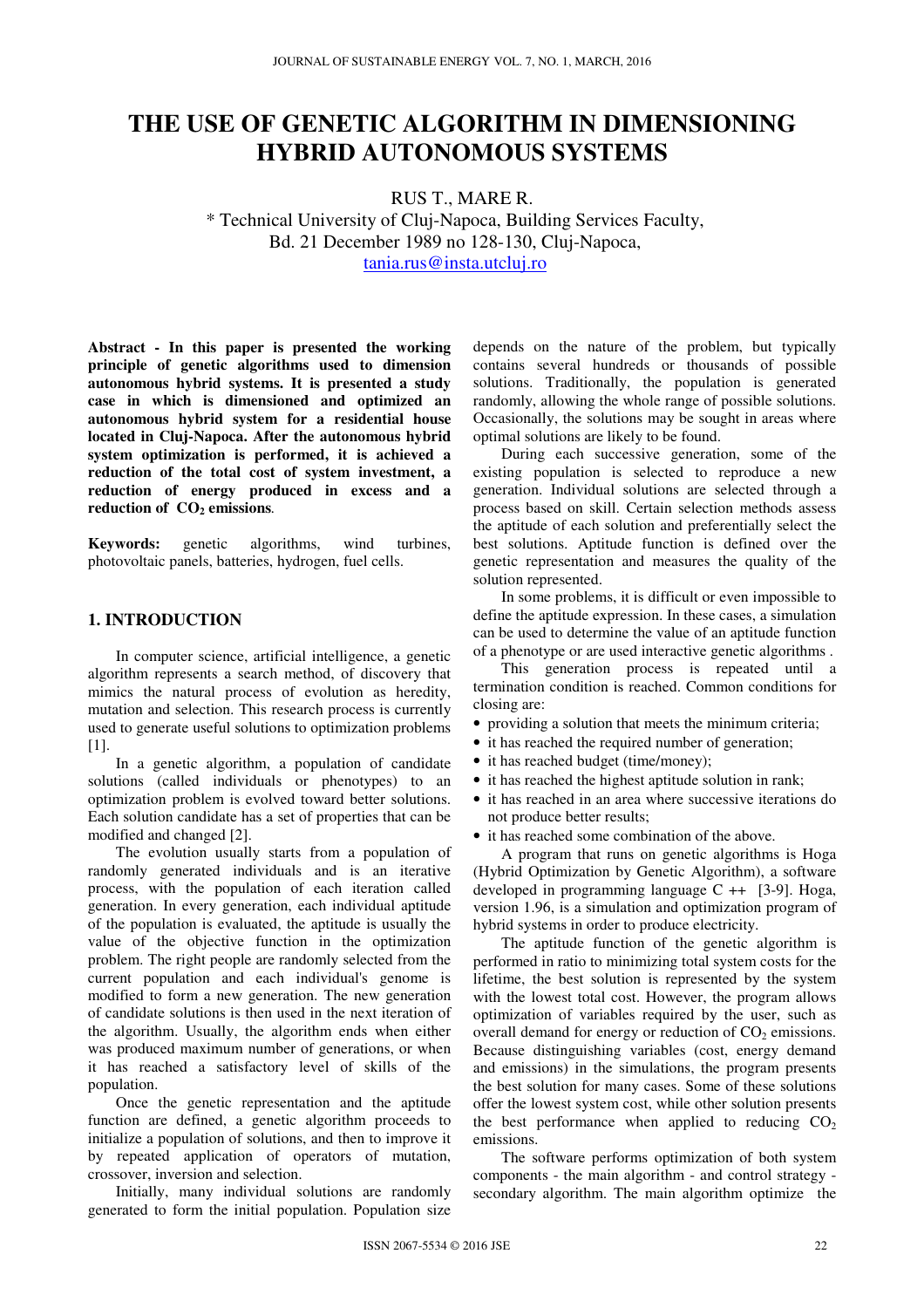# **THE USE OF GENETIC ALGORITHM IN DIMENSIONING HYBRID AUTONOMOUS SYSTEMS**

RUS T., MARE R. \* Technical University of Cluj-Napoca, Building Services Faculty, Bd. 21 December 1989 no 128-130, Cluj-Napoca, tania.rus@insta.utcluj.ro

**Abstract - In this paper is presented the working principle of genetic algorithms used to dimension autonomous hybrid systems. It is presented a study case in which is dimensioned and optimized an autonomous hybrid system for a residential house located in Cluj-Napoca. After the autonomous hybrid system optimization is performed, it is achieved a reduction of the total cost of system investment, a reduction of energy produced in excess and a reduction of CO2 emissions***.* 

**Keywords:** genetic algorithms, wind turbines, photovoltaic panels, batteries, hydrogen, fuel cells.

## **1. INTRODUCTION**

In computer science, artificial intelligence, a genetic algorithm represents a search method, of discovery that mimics the natural process of evolution as heredity, mutation and selection. This research process is currently used to generate useful solutions to optimization problems [1].

In a genetic algorithm, a population of candidate solutions (called individuals or phenotypes) to an optimization problem is evolved toward better solutions. Each solution candidate has a set of properties that can be modified and changed [2].

The evolution usually starts from a population of randomly generated individuals and is an iterative process, with the population of each iteration called generation. In every generation, each individual aptitude of the population is evaluated, the aptitude is usually the value of the objective function in the optimization problem. The right people are randomly selected from the current population and each individual's genome is modified to form a new generation. The new generation of candidate solutions is then used in the next iteration of the algorithm. Usually, the algorithm ends when either was produced maximum number of generations, or when it has reached a satisfactory level of skills of the population.

Once the genetic representation and the aptitude function are defined, a genetic algorithm proceeds to initialize a population of solutions, and then to improve it by repeated application of operators of mutation, crossover, inversion and selection.

Initially, many individual solutions are randomly generated to form the initial population. Population size depends on the nature of the problem, but typically contains several hundreds or thousands of possible solutions. Traditionally, the population is generated randomly, allowing the whole range of possible solutions. Occasionally, the solutions may be sought in areas where optimal solutions are likely to be found.

During each successive generation, some of the existing population is selected to reproduce a new generation. Individual solutions are selected through a process based on skill. Certain selection methods assess the aptitude of each solution and preferentially select the best solutions. Aptitude function is defined over the genetic representation and measures the quality of the solution represented.

In some problems, it is difficult or even impossible to define the aptitude expression. In these cases, a simulation can be used to determine the value of an aptitude function of a phenotype or are used interactive genetic algorithms .

This generation process is repeated until a termination condition is reached. Common conditions for closing are:

- providing a solution that meets the minimum criteria;
- it has reached the required number of generation;
- it has reached budget (time/money);
- it has reached the highest aptitude solution in rank:
- it has reached in an area where successive iterations do not produce better results;
- it has reached some combination of the above.

A program that runs on genetic algorithms is Hoga (Hybrid Optimization by Genetic Algorithm), a software developed in programming language  $C +$  [3-9]. Hoga, version 1.96, is a simulation and optimization program of hybrid systems in order to produce electricity.

The aptitude function of the genetic algorithm is performed in ratio to minimizing total system costs for the lifetime, the best solution is represented by the system with the lowest total cost. However, the program allows optimization of variables required by the user, such as overall demand for energy or reduction of  $CO<sub>2</sub>$  emissions. Because distinguishing variables (cost, energy demand and emissions) in the simulations, the program presents the best solution for many cases. Some of these solutions offer the lowest system cost, while other solution presents the best performance when applied to reducing  $CO<sub>2</sub>$ emissions.

The software performs optimization of both system components - the main algorithm - and control strategy secondary algorithm. The main algorithm optimize the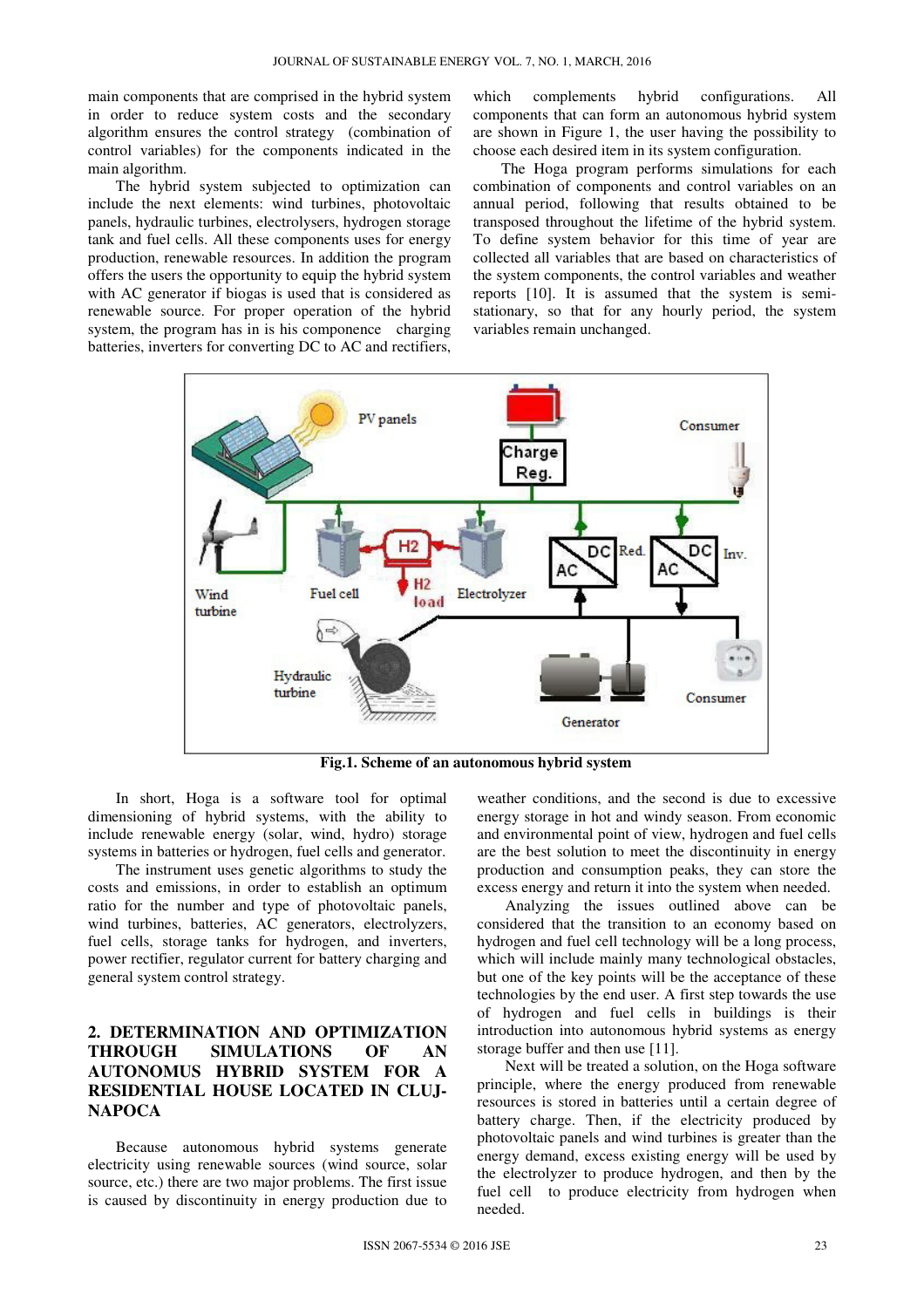main components that are comprised in the hybrid system in order to reduce system costs and the secondary algorithm ensures the control strategy (combination of control variables) for the components indicated in the main algorithm.

The hybrid system subjected to optimization can include the next elements: wind turbines, photovoltaic panels, hydraulic turbines, electrolysers, hydrogen storage tank and fuel cells. All these components uses for energy production, renewable resources. In addition the program offers the users the opportunity to equip the hybrid system with AC generator if biogas is used that is considered as renewable source. For proper operation of the hybrid system, the program has in is his componence charging batteries, inverters for converting DC to AC and rectifiers,

which complements hybrid configurations. All components that can form an autonomous hybrid system are shown in Figure 1, the user having the possibility to choose each desired item in its system configuration.

The Hoga program performs simulations for each combination of components and control variables on an annual period, following that results obtained to be transposed throughout the lifetime of the hybrid system. To define system behavior for this time of year are collected all variables that are based on characteristics of the system components, the control variables and weather reports [10]. It is assumed that the system is semistationary, so that for any hourly period, the system variables remain unchanged.



**Fig.1. Scheme of an autonomous hybrid system** 

In short, Hoga is a software tool for optimal dimensioning of hybrid systems, with the ability to include renewable energy (solar, wind, hydro) storage systems in batteries or hydrogen, fuel cells and generator.

The instrument uses genetic algorithms to study the costs and emissions, in order to establish an optimum ratio for the number and type of photovoltaic panels, wind turbines, batteries, AC generators, electrolyzers, fuel cells, storage tanks for hydrogen, and inverters, power rectifier, regulator current for battery charging and general system control strategy.

# **2. DETERMINATION AND OPTIMIZATION THROUGH SIMULATIONS OF AN AUTONOMUS HYBRID SYSTEM FOR A RESIDENTIAL HOUSE LOCATED IN CLUJ-NAPOCA**

Because autonomous hybrid systems generate electricity using renewable sources (wind source, solar source, etc.) there are two major problems. The first issue is caused by discontinuity in energy production due to

weather conditions, and the second is due to excessive energy storage in hot and windy season. From economic and environmental point of view, hydrogen and fuel cells are the best solution to meet the discontinuity in energy production and consumption peaks, they can store the excess energy and return it into the system when needed.

Analyzing the issues outlined above can be considered that the transition to an economy based on hydrogen and fuel cell technology will be a long process, which will include mainly many technological obstacles, but one of the key points will be the acceptance of these technologies by the end user. A first step towards the use of hydrogen and fuel cells in buildings is their introduction into autonomous hybrid systems as energy storage buffer and then use [11].

Next will be treated a solution, on the Hoga software principle, where the energy produced from renewable resources is stored in batteries until a certain degree of battery charge. Then, if the electricity produced by photovoltaic panels and wind turbines is greater than the energy demand, excess existing energy will be used by the electrolyzer to produce hydrogen, and then by the fuel cell to produce electricity from hydrogen when needed.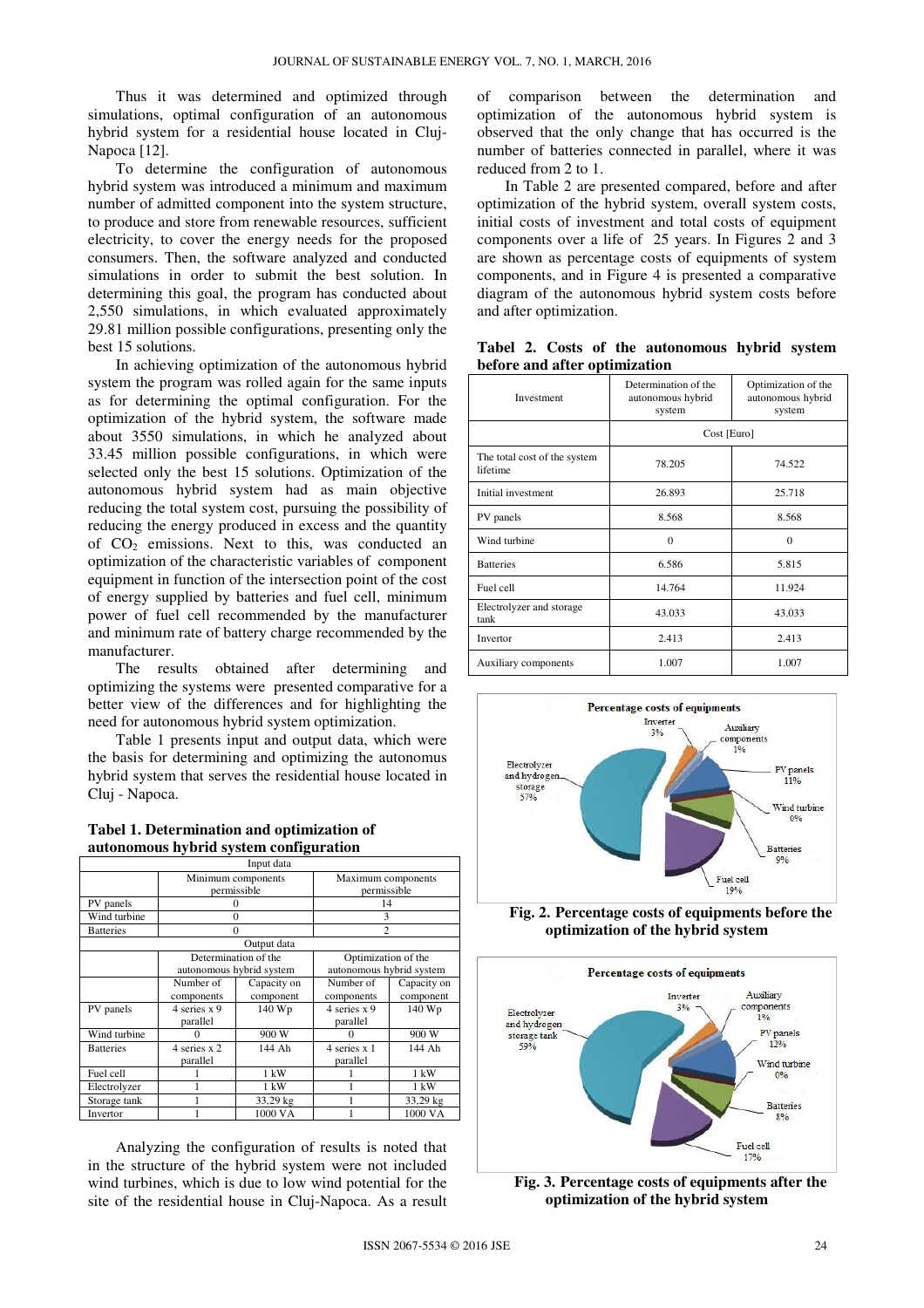Thus it was determined and optimized through simulations, optimal configuration of an autonomous hybrid system for a residential house located in Cluj-Napoca [12].

To determine the configuration of autonomous hybrid system was introduced a minimum and maximum number of admitted component into the system structure, to produce and store from renewable resources, sufficient electricity, to cover the energy needs for the proposed consumers. Then, the software analyzed and conducted simulations in order to submit the best solution. In determining this goal, the program has conducted about 2,550 simulations, in which evaluated approximately 29.81 million possible configurations, presenting only the best 15 solutions.

In achieving optimization of the autonomous hybrid system the program was rolled again for the same inputs as for determining the optimal configuration. For the optimization of the hybrid system, the software made about 3550 simulations, in which he analyzed about 33.45 million possible configurations, in which were selected only the best 15 solutions. Optimization of the autonomous hybrid system had as main objective reducing the total system cost, pursuing the possibility of reducing the energy produced in excess and the quantity of  $CO<sub>2</sub>$  emissions. Next to this, was conducted an optimization of the characteristic variables of component equipment in function of the intersection point of the cost of energy supplied by batteries and fuel cell, minimum power of fuel cell recommended by the manufacturer and minimum rate of battery charge recommended by the manufacturer.

The results obtained after determining and optimizing the systems were presented comparative for a better view of the differences and for highlighting the need for autonomous hybrid system optimization.

Table 1 presents input and output data, which were the basis for determining and optimizing the autonomus hybrid system that serves the residential house located in Cluj - Napoca.

| Tabel 1. Determination and optimization of |  |
|--------------------------------------------|--|
| autonomous hybrid system configuration     |  |

|                  |                          | Input data     |                          |                |
|------------------|--------------------------|----------------|--------------------------|----------------|
|                  | Minimum components       |                | Maximum components       |                |
|                  |                          | permissible    | permissible              |                |
| PV panels        | $\Omega$                 |                | 14                       |                |
| Wind turbine     |                          | $\Omega$       | 3                        |                |
| <b>Batteries</b> | $\Omega$                 |                | $\overline{c}$           |                |
|                  |                          | Output data    |                          |                |
|                  | Determination of the     |                | Optimization of the      |                |
|                  | autonomous hybrid system |                | autonomous hybrid system |                |
|                  | Number of                | Capacity on    | Number of                | Capacity on    |
|                  | components               | component      | components               | component      |
| PV panels        | 4 series x 9             | 140 Wp         | 4 series x 9             | 140 Wp         |
|                  | parallel                 |                | parallel                 |                |
| Wind turbine     | 0                        | 900 W          | 0                        | 900 W          |
| <b>Batteries</b> | 4 series x 2             | 144 Ah         | 4 series x 1             | 144 Ah         |
|                  | parallel                 |                | parallel                 |                |
| Fuel cell        |                          | 1 kW           |                          | 1 kW           |
| Electrolyzer     |                          | $1 \text{ kW}$ |                          | $1 \text{ kW}$ |
| Storage tank     |                          | 33,29 kg       |                          | 33,29 kg       |
| Invertor         |                          | 1000 VA        |                          | 1000 VA        |

Analyzing the configuration of results is noted that in the structure of the hybrid system were not included wind turbines, which is due to low wind potential for the site of the residential house in Cluj-Napoca. As a result

of comparison between the determination and optimization of the autonomous hybrid system is observed that the only change that has occurred is the number of batteries connected in parallel, where it was reduced from 2 to 1.

In Table 2 are presented compared, before and after optimization of the hybrid system, overall system costs, initial costs of investment and total costs of equipment components over a life of 25 years. In Figures 2 and 3 are shown as percentage costs of equipments of system components, and in Figure 4 is presented a comparative diagram of the autonomous hybrid system costs before and after optimization.

**Tabel 2. Costs of the autonomous hybrid system before and after optimization**

| Investment                               | Determination of the<br>autonomous hybrid<br>system | Optimization of the<br>autonomous hybrid<br>system |  |
|------------------------------------------|-----------------------------------------------------|----------------------------------------------------|--|
|                                          | Cost [Euro]                                         |                                                    |  |
| The total cost of the system<br>lifetime | 78.205<br>74.522                                    |                                                    |  |
| Initial investment                       | 26.893                                              | 25.718                                             |  |
| PV panels                                | 8.568                                               | 8.568                                              |  |
| Wind turbine                             | $\Omega$                                            | $\Omega$                                           |  |
| <b>Batteries</b>                         | 6.586                                               | 5.815                                              |  |
| Fuel cell                                | 14.764                                              | 11.924                                             |  |
| Electrolyzer and storage<br>tank         | 43.033                                              | 43.033                                             |  |
| Invertor                                 | 2.413                                               | 2.413                                              |  |
| Auxiliary components                     | 1.007                                               | 1.007                                              |  |



**Fig. 2. Percentage costs of equipments before the optimization of the hybrid system**



**Fig. 3. Percentage costs of equipments after the optimization of the hybrid system**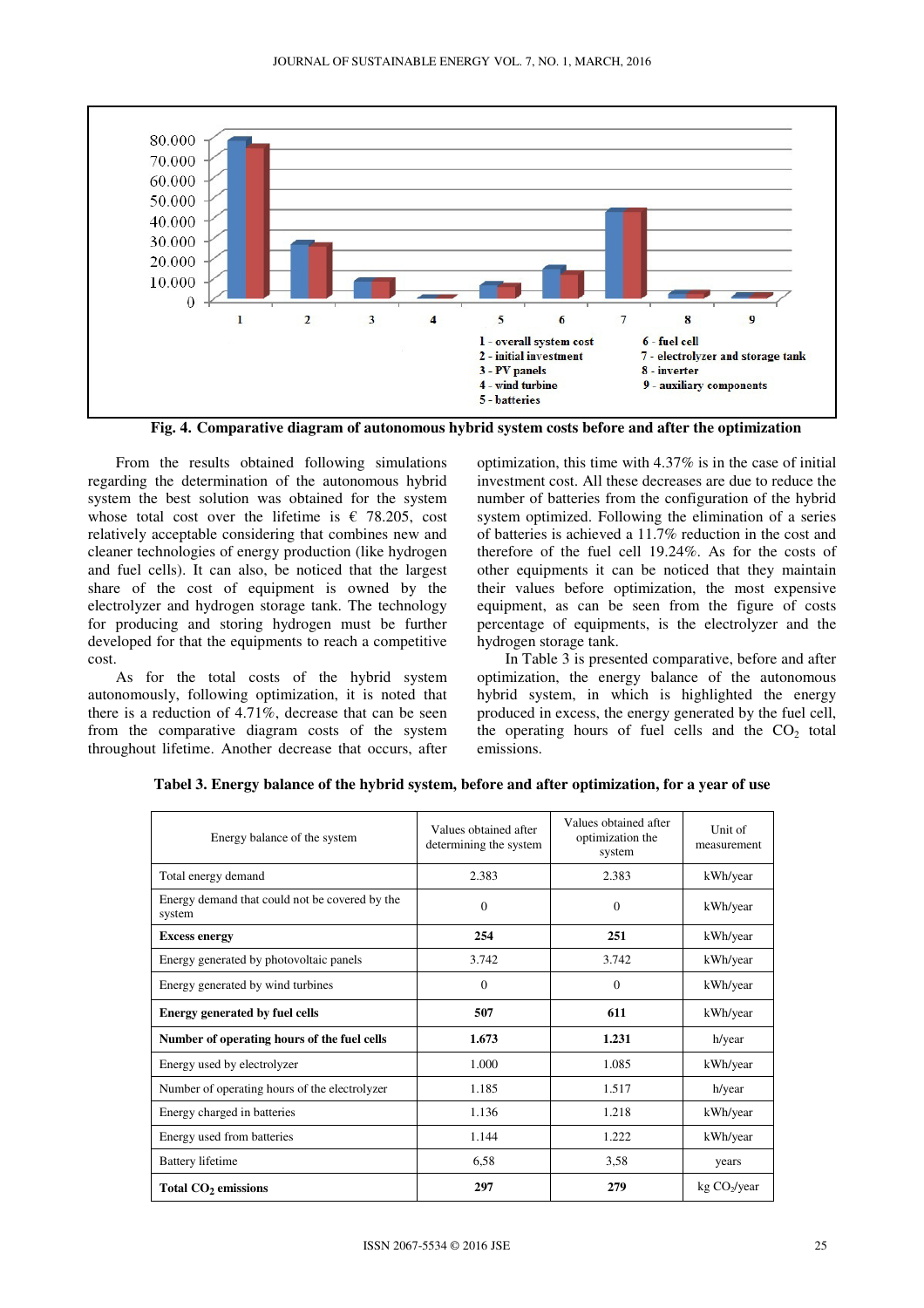

**Fig. 4. Comparative diagram of autonomous hybrid system costs before and after the optimization** 

From the results obtained following simulations regarding the determination of the autonomous hybrid system the best solution was obtained for the system whose total cost over the lifetime is  $\epsilon$  78.205, cost relatively acceptable considering that combines new and cleaner technologies of energy production (like hydrogen and fuel cells). It can also, be noticed that the largest share of the cost of equipment is owned by the electrolyzer and hydrogen storage tank. The technology for producing and storing hydrogen must be further developed for that the equipments to reach a competitive cost.

As for the total costs of the hybrid system autonomously, following optimization, it is noted that there is a reduction of 4.71%, decrease that can be seen from the comparative diagram costs of the system throughout lifetime. Another decrease that occurs, after optimization, this time with 4.37% is in the case of initial investment cost. All these decreases are due to reduce the number of batteries from the configuration of the hybrid system optimized. Following the elimination of a series of batteries is achieved a 11.7% reduction in the cost and therefore of the fuel cell 19.24%. As for the costs of other equipments it can be noticed that they maintain their values before optimization, the most expensive equipment, as can be seen from the figure of costs percentage of equipments, is the electrolyzer and the hydrogen storage tank.

In Table 3 is presented comparative, before and after optimization, the energy balance of the autonomous hybrid system, in which is highlighted the energy produced in excess, the energy generated by the fuel cell, the operating hours of fuel cells and the  $CO<sub>2</sub>$  total emissions.

| Energy balance of the system                             | Values obtained after<br>Values obtained after<br>optimization the<br>determining the system<br>system |              | Unit of<br>measurement   |
|----------------------------------------------------------|--------------------------------------------------------------------------------------------------------|--------------|--------------------------|
| Total energy demand                                      | 2.383                                                                                                  | 2.383        | kWh/year                 |
| Energy demand that could not be covered by the<br>system | $\Omega$                                                                                               | $\mathbf{0}$ | kWh/year                 |
| <b>Excess energy</b>                                     | 254                                                                                                    | 251          | kWh/year                 |
| Energy generated by photovoltaic panels                  | 3.742                                                                                                  | 3.742        | kWh/year                 |
| Energy generated by wind turbines                        | $\Omega$                                                                                               | $\Omega$     | kWh/year                 |
| <b>Energy generated by fuel cells</b>                    | 507                                                                                                    | 611          | kWh/year                 |
| Number of operating hours of the fuel cells              | 1.673                                                                                                  | 1.231        | h/year                   |
| Energy used by electrolyzer                              | 1.000                                                                                                  | 1.085        | kWh/year                 |
| Number of operating hours of the electrolyzer            | 1.185                                                                                                  | 1.517        | h/year                   |
| Energy charged in batteries                              | 1.136                                                                                                  | 1.218        | kWh/year                 |
| Energy used from batteries                               | 1.144                                                                                                  | 1.222        | kWh/year                 |
| <b>Battery lifetime</b>                                  | 6,58                                                                                                   | 3,58         | years                    |
| Total CO <sub>2</sub> emissions                          | 297                                                                                                    | 279          | kg CO <sub>2</sub> /year |

|  |  |  |  |  | Tabel 3. Energy balance of the hybrid system, before and after optimization, for a year of use |
|--|--|--|--|--|------------------------------------------------------------------------------------------------|
|--|--|--|--|--|------------------------------------------------------------------------------------------------|